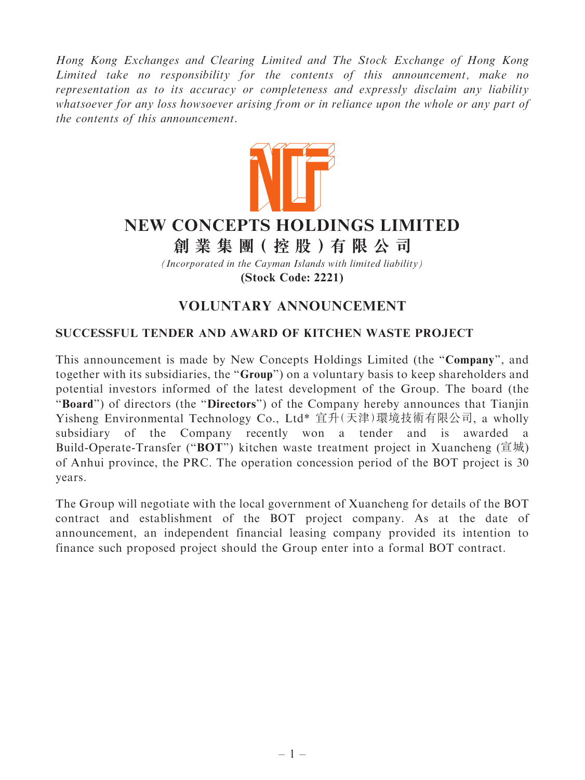Hong Kong Exchanges and Clearing Limited and The Stock Exchange of Hong Kong Limited take no responsibility for the contents of this announcement, make no representation as to its accuracy or completeness and expressly disclaim any liability whatsoever for any loss howsoever arising from or in reliance upon the whole or any part of the contents of this announcement.



## **NEW CONCEPTS HOLDINGS LIMITED**

**創 業 集 團( 控 股 )有 限 公 司**

*(Incorporated in the Cayman Islands with limited liability)* **(Stock Code: 2221)**

## VOLUNTARY ANNOUNCEMENT

## SUCCESSFUL TENDER AND AWARD OF KITCHEN WASTE PROJECT

This announcement is made by New Concepts Holdings Limited (the ''Company'', and together with its subsidiaries, the ''Group'') on a voluntary basis to keep shareholders and potential investors informed of the latest development of the Group. The board (the "Board") of directors (the "Directors") of the Company hereby announces that Tianjin Yisheng Environmental Technology Co., Ltd\* 宜升(天津)環境技術有限公司, a wholly subsidiary of the Company recently won a tender and is awarded a Build-Operate-Transfer ("**BOT**") kitchen waste treatment project in Xuancheng (宣城) of Anhui province, the PRC. The operation concession period of the BOT project is 30 years.

The Group will negotiate with the local government of Xuancheng for details of the BOT contract and establishment of the BOT project company. As at the date of announcement, an independent financial leasing company provided its intention to finance such proposed project should the Group enter into a formal BOT contract.